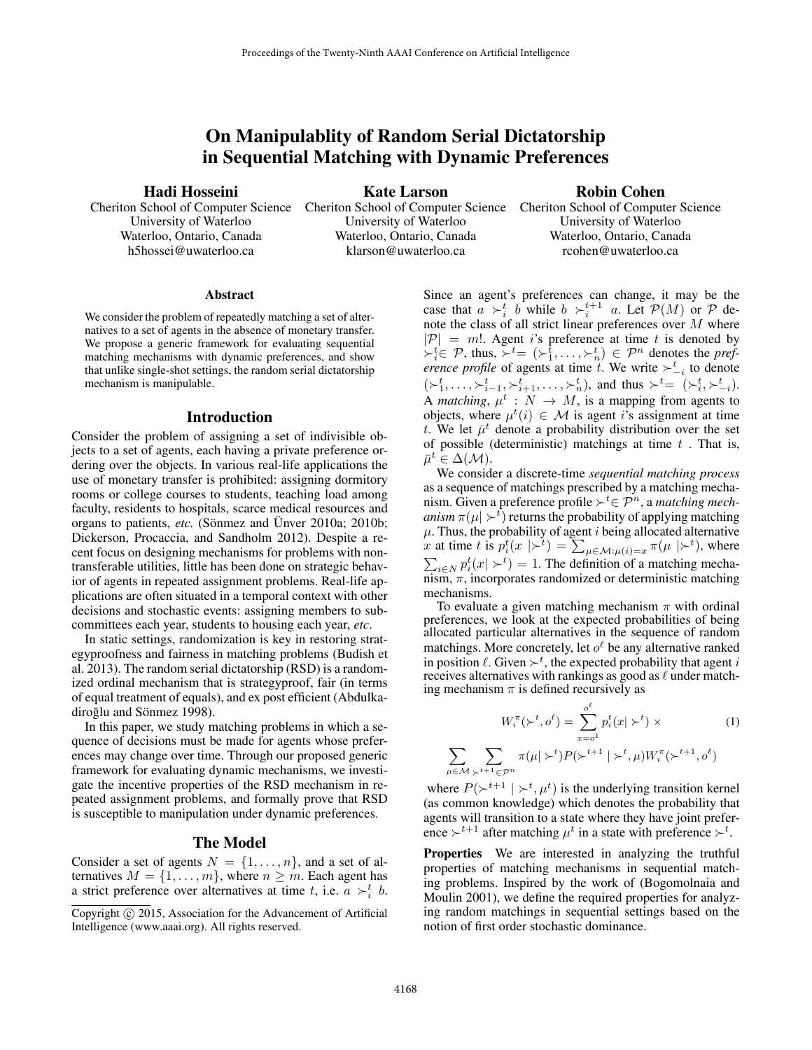# On Manipulablity of Random Serial Dictatorship in Sequential Matching with Dynamic Preferences

Hadi Hosseini

University of Waterloo Waterloo, Ontario, Canada h5hossei@uwaterloo.ca

Kate Larson

Robin Cohen

University of Waterloo Waterloo, Ontario, Canada klarson@uwaterloo.ca

Cheriton School of Computer Science Cheriton School of Computer Science Cheriton School of Computer Science University of Waterloo Waterloo, Ontario, Canada rcohen@uwaterloo.ca

### **Abstract**

We consider the problem of repeatedly matching a set of alternatives to a set of agents in the absence of monetary transfer. We propose a generic framework for evaluating sequential matching mechanisms with dynamic preferences, and show that unlike single-shot settings, the random serial dictatorship mechanism is manipulable.

#### Introduction

Consider the problem of assigning a set of indivisible objects to a set of agents, each having a private preference ordering over the objects. In various real-life applications the use of monetary transfer is prohibited: assigning dormitory rooms or college courses to students, teaching load among faculty, residents to hospitals, scarce medical resources and organs to patients, *etc.* (Sönmez and Ünver 2010a; 2010b; Dickerson, Procaccia, and Sandholm 2012). Despite a recent focus on designing mechanisms for problems with nontransferable utilities, little has been done on strategic behavior of agents in repeated assignment problems. Real-life applications are often situated in a temporal context with other decisions and stochastic events: assigning members to subcommittees each year, students to housing each year, *etc*.

In static settings, randomization is key in restoring strategyproofness and fairness in matching problems (Budish et al. 2013). The random serial dictatorship (RSD) is a randomized ordinal mechanism that is strategyproof, fair (in terms of equal treatment of equals), and ex post efficient (Abdulkadiroğlu and Sönmez 1998).

In this paper, we study matching problems in which a sequence of decisions must be made for agents whose preferences may change over time. Through our proposed generic framework for evaluating dynamic mechanisms, we investigate the incentive properties of the RSD mechanism in repeated assignment problems, and formally prove that RSD is susceptible to manipulation under dynamic preferences.

## The Model

Consider a set of agents  $N = \{1, \ldots, n\}$ , and a set of alternatives  $M = \{1, \ldots, m\}$ , where  $n \geq m$ . Each agent has a strict preference over alternatives at time t, i.e.  $a \succ_i^t b$ .

Since an agent's preferences can change, it may be the case that  $a \rightarrow_i^t b$  while  $b \rightarrow_i^{t+1} a$ . Let  $\mathcal{P}(M)$  or  $\mathcal P$  denote the class of all strict linear preferences over  $M$  where  $|\mathcal{P}| = m!$ . Agent i's preference at time t is denoted by  $\succ_i^t \in \mathcal{P}$ , thus,  $\succ_i^t = (\succ_1^t, \ldots, \succ_n^t) \in \mathcal{P}^n$  denotes the *preference profile* of agents at time t. We write  $\succ_{-i}^{t}$  to denote  $(\succ_1^t, \ldots, \succ_{i-1}^t, \succ_{i+1}^t, \ldots, \succ_n^t)$ , and thus  $\succ_t^t = (\succ_i^t, \succ_{i}^t, \succ_{i}^t)$ . A *matching*,  $\mu^t : N \to M$ , is a mapping from agents to objects, where  $\mu^t(i) \in \mathcal{M}$  is agent i's assignment at time t. We let  $\bar{\mu}^t$  denote a probability distribution over the set of possible (deterministic) matchings at time  $t$ . That is,  $\bar{\mu}^t \in \Delta(\mathcal{M}).$ 

We consider a discrete-time *sequential matching process* as a sequence of matchings prescribed by a matching mechanism. Given a preference profile ≻<sup>*t*</sup> $∈$   $\mathcal{P}^n$ , a *matching mechanism*  $\pi(\mu \mid \succ^t)$  returns the probability of applying matching  $\mu$ . Thus, the probability of agent *i* being allocated alternative x at time t is  $p_i^t(x \mid \succ^t) = \sum_{\mu \in \mathcal{M} : \mu(i) = x} \pi(\mu \mid \succ^t)$ , where  $\sum_{i \in N} p_i^t(x \mid \succ^t) = 1$ . The definition of a matching mechanism,  $\pi$ , incorporates randomized or deterministic matching mechanisms.

To evaluate a given matching mechanism  $\pi$  with ordinal preferences, we look at the expected probabilities of being allocated particular alternatives in the sequence of random matchings. More concretely, let  $o^{\ell}$  be any alternative ranked in position  $\ell$ . Given  $\succ^t$ , the expected probability that agent i receives alternatives with rankings as good as  $\ell$  under matching mechanism  $\pi$  is defined recursively as

$$
W_i^{\pi}(\succ^t, o^{\ell}) = \sum_{x=o^1}^{o^{\ell}} p_i^t(x | \succ^t) \times \qquad (1)
$$

$$
\sum_{\mu \in \mathcal{M}} \sum_{\succ^{t+1} \in \mathcal{P}^n} \pi(\mu | \succ^t) P(\succ^{t+1} | \succ^t, \mu) W_i^{\pi}(\succ^{t+1}, o^{\ell})
$$

where  $P(\succ^{t+1} | \succ^t, \mu^t)$  is the underlying transition kernel (as common knowledge) which denotes the probability that agents will transition to a state where they have joint preference  $\succ^{t+1}$  after matching  $\mu^t$  in a state with preference  $\succ^t$ .

Properties We are interested in analyzing the truthful properties of matching mechanisms in sequential matching problems. Inspired by the work of (Bogomolnaia and Moulin 2001), we define the required properties for analyzing random matchings in sequential settings based on the notion of first order stochastic dominance.

Copyright © 2015, Association for the Advancement of Artificial Intelligence (www.aaai.org). All rights reserved.